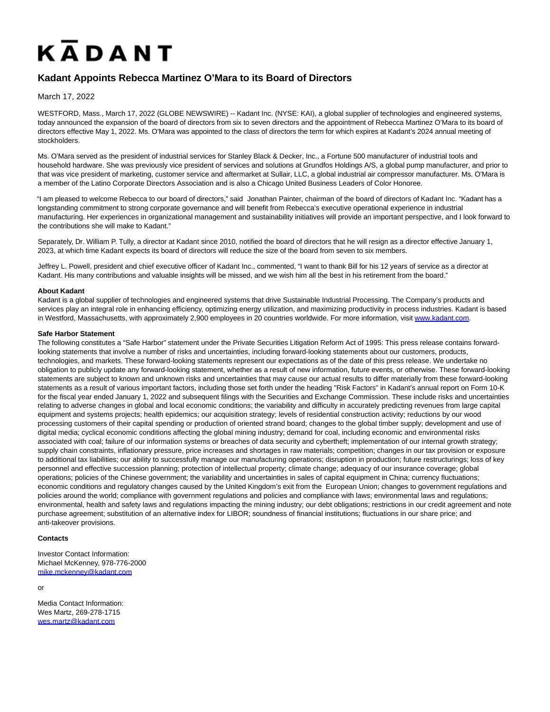# KADANT

## **Kadant Appoints Rebecca Martinez O'Mara to its Board of Directors**

March 17, 2022

WESTFORD, Mass., March 17, 2022 (GLOBE NEWSWIRE) -- Kadant Inc. (NYSE: KAI), a global supplier of technologies and engineered systems, today announced the expansion of the board of directors from six to seven directors and the appointment of Rebecca Martinez O'Mara to its board of directors effective May 1, 2022. Ms. O'Mara was appointed to the class of directors the term for which expires at Kadant's 2024 annual meeting of stockholders.

Ms. O'Mara served as the president of industrial services for Stanley Black & Decker, Inc., a Fortune 500 manufacturer of industrial tools and household hardware. She was previously vice president of services and solutions at Grundfos Holdings A/S, a global pump manufacturer, and prior to that was vice president of marketing, customer service and aftermarket at Sullair, LLC, a global industrial air compressor manufacturer. Ms. O'Mara is a member of the Latino Corporate Directors Association and is also a Chicago United Business Leaders of Color Honoree.

"I am pleased to welcome Rebecca to our board of directors," said Jonathan Painter, chairman of the board of directors of Kadant Inc. "Kadant has a longstanding commitment to strong corporate governance and will benefit from Rebecca's executive operational experience in industrial manufacturing. Her experiences in organizational management and sustainability initiatives will provide an important perspective, and I look forward to the contributions she will make to Kadant."

Separately, Dr. William P. Tully, a director at Kadant since 2010, notified the board of directors that he will resign as a director effective January 1, 2023, at which time Kadant expects its board of directors will reduce the size of the board from seven to six members.

Jeffrey L. Powell, president and chief executive officer of Kadant Inc., commented, "I want to thank Bill for his 12 years of service as a director at Kadant. His many contributions and valuable insights will be missed, and we wish him all the best in his retirement from the board."

### **About Kadant**

Kadant is a global supplier of technologies and engineered systems that drive Sustainable Industrial Processing. The Company's products and services play an integral role in enhancing efficiency, optimizing energy utilization, and maximizing productivity in process industries. Kadant is based in Westford, Massachusetts, with approximately 2,900 employees in 20 countries worldwide. For more information, visit [www.kadant.com.](https://www.globenewswire.com/Tracker?data=jQPZQ9wOIc9CVqBmnO6oO1wzErjeIxK3m7OY4KQhMLVEPNciIF3wHVOOu2AO4Nj9jqxQKE3giMazZ-jt7UWB0g==)

### **Safe Harbor Statement**

The following constitutes a "Safe Harbor" statement under the Private Securities Litigation Reform Act of 1995: This press release contains forwardlooking statements that involve a number of risks and uncertainties, including forward-looking statements about our customers, products, technologies, and markets. These forward-looking statements represent our expectations as of the date of this press release. We undertake no obligation to publicly update any forward-looking statement, whether as a result of new information, future events, or otherwise. These forward-looking statements are subject to known and unknown risks and uncertainties that may cause our actual results to differ materially from these forward-looking statements as a result of various important factors, including those set forth under the heading "Risk Factors" in Kadant's annual report on Form 10-K for the fiscal year ended January 1, 2022 and subsequent filings with the Securities and Exchange Commission. These include risks and uncertainties relating to adverse changes in global and local economic conditions; the variability and difficulty in accurately predicting revenues from large capital equipment and systems projects; health epidemics; our acquisition strategy; levels of residential construction activity; reductions by our wood processing customers of their capital spending or production of oriented strand board; changes to the global timber supply; development and use of digital media; cyclical economic conditions affecting the global mining industry; demand for coal, including economic and environmental risks associated with coal; failure of our information systems or breaches of data security and cybertheft; implementation of our internal growth strategy; supply chain constraints, inflationary pressure, price increases and shortages in raw materials; competition; changes in our tax provision or exposure to additional tax liabilities; our ability to successfully manage our manufacturing operations; disruption in production; future restructurings; loss of key personnel and effective succession planning; protection of intellectual property; climate change; adequacy of our insurance coverage; global operations; policies of the Chinese government; the variability and uncertainties in sales of capital equipment in China; currency fluctuations; economic conditions and regulatory changes caused by the United Kingdom's exit from the European Union; changes to government regulations and policies around the world; compliance with government regulations and policies and compliance with laws; environmental laws and regulations; environmental, health and safety laws and regulations impacting the mining industry; our debt obligations; restrictions in our credit agreement and note purchase agreement; substitution of an alternative index for LIBOR; soundness of financial institutions; fluctuations in our share price; and anti-takeover provisions.

### **Contacts**

Investor Contact Information: Michael McKenney, 978-776-2000 [mike.mckenney@kadant.com](https://www.globenewswire.com/Tracker?data=Y_dF5MXZXSlZnx9tW5If4C0WRzEAcbIud__e06Ac_Hk4p0oKFDsYW44yuedSj4NT9Kk5eQmyJZjpQ5exd4sE4r7nhgb_aGD22V5gb9J2-24=)

or

Media Contact Information: Wes Martz, 269-278-1715 [wes.martz@kadant.com](https://www.globenewswire.com/Tracker?data=_JfeXkS3ZgrlHCFopyinc-wn35J1gm2CHgJXHyvseJt22dtiBb9m6YcnfRwLIgKFD27z9luLMbRcJtlMMfTnoHtCDFwNqy-W8n2DRf7zO94=)